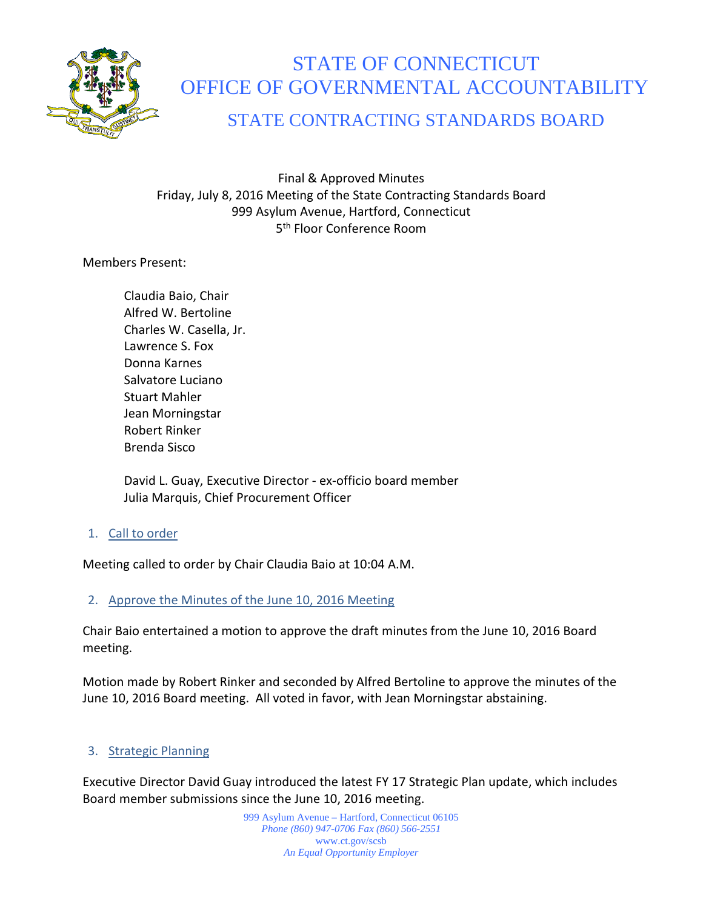

# STATE OF CONNECTICUT OFFICE OF GOVERNMENTAL ACCOUNTABILITY

## STATE CONTRACTING STANDARDS BOARD

Final & Approved Minutes Friday, July 8, 2016 Meeting of the State Contracting Standards Board 999 Asylum Avenue, Hartford, Connecticut 5th Floor Conference Room

Members Present:

Claudia Baio, Chair Alfred W. Bertoline Charles W. Casella, Jr. Lawrence S. Fox Donna Karnes Salvatore Luciano Stuart Mahler Jean Morningstar Robert Rinker Brenda Sisco

David L. Guay, Executive Director - ex-officio board member Julia Marquis, Chief Procurement Officer

1. Call to order

Meeting called to order by Chair Claudia Baio at 10:04 A.M.

## 2. Approve the Minutes of the June 10, 2016 Meeting

Chair Baio entertained a motion to approve the draft minutes from the June 10, 2016 Board meeting.

Motion made by Robert Rinker and seconded by Alfred Bertoline to approve the minutes of the June 10, 2016 Board meeting. All voted in favor, with Jean Morningstar abstaining.

## 3. Strategic Planning

Executive Director David Guay introduced the latest FY 17 Strategic Plan update, which includes Board member submissions since the June 10, 2016 meeting.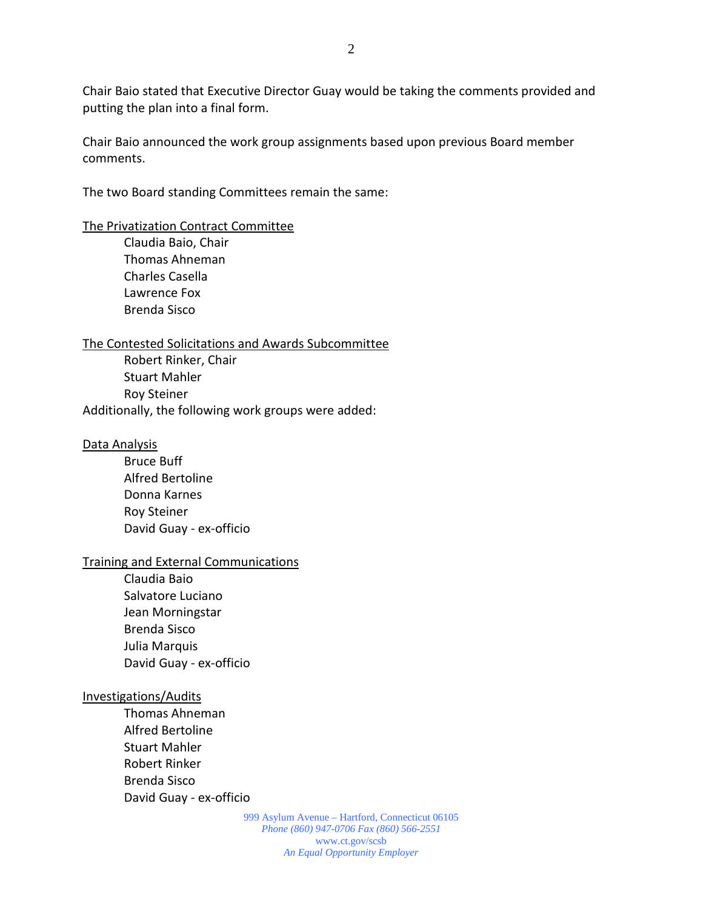Chair Baio stated that Executive Director Guay would be taking the comments provided and putting the plan into a final form.

Chair Baio announced the work group assignments based upon previous Board member comments.

The two Board standing Committees remain the same:

#### The Privatization Contract Committee

Claudia Baio, Chair Thomas Ahneman Charles Casella Lawrence Fox Brenda Sisco

#### The Contested Solicitations and Awards Subcommittee

Robert Rinker, Chair Stuart Mahler Roy Steiner Additionally, the following work groups were added:

#### Data Analysis

Bruce Buff Alfred Bertoline Donna Karnes Roy Steiner David Guay - ex-officio

#### Training and External Communications

Claudia Baio Salvatore Luciano Jean Morningstar Brenda Sisco Julia Marquis David Guay - ex-officio

#### Investigations/Audits

Thomas Ahneman Alfred Bertoline Stuart Mahler Robert Rinker Brenda Sisco David Guay - ex-officio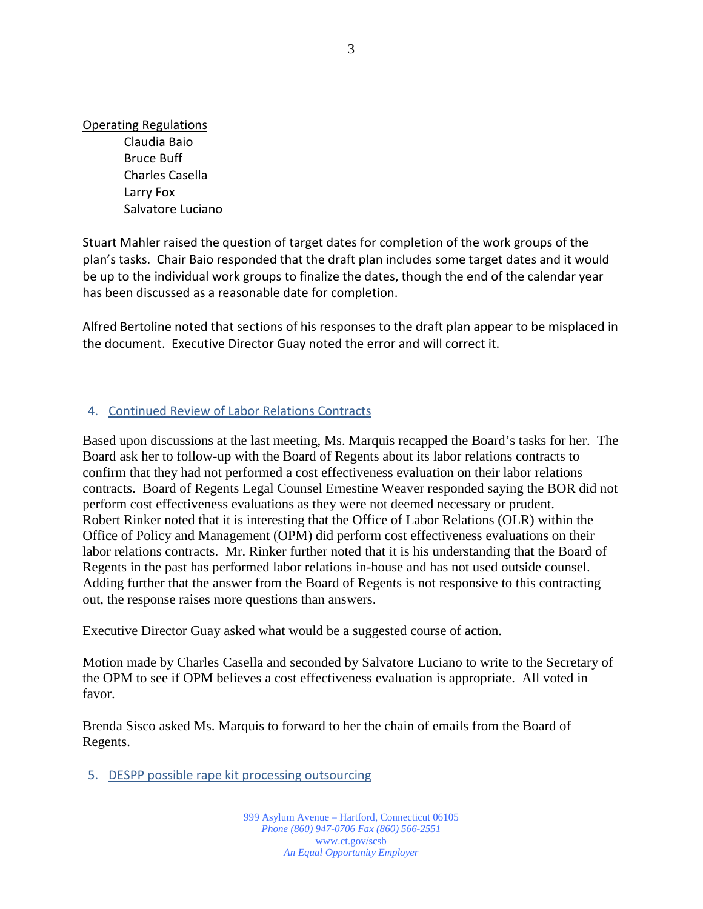Operating Regulations

Claudia Baio Bruce Buff Charles Casella Larry Fox Salvatore Luciano

Stuart Mahler raised the question of target dates for completion of the work groups of the plan's tasks. Chair Baio responded that the draft plan includes some target dates and it would be up to the individual work groups to finalize the dates, though the end of the calendar year has been discussed as a reasonable date for completion.

Alfred Bertoline noted that sections of his responses to the draft plan appear to be misplaced in the document. Executive Director Guay noted the error and will correct it.

## 4. Continued Review of Labor Relations Contracts

Based upon discussions at the last meeting, Ms. Marquis recapped the Board's tasks for her. The Board ask her to follow-up with the Board of Regents about its labor relations contracts to confirm that they had not performed a cost effectiveness evaluation on their labor relations contracts. Board of Regents Legal Counsel Ernestine Weaver responded saying the BOR did not perform cost effectiveness evaluations as they were not deemed necessary or prudent. Robert Rinker noted that it is interesting that the Office of Labor Relations (OLR) within the Office of Policy and Management (OPM) did perform cost effectiveness evaluations on their labor relations contracts. Mr. Rinker further noted that it is his understanding that the Board of Regents in the past has performed labor relations in-house and has not used outside counsel. Adding further that the answer from the Board of Regents is not responsive to this contracting out, the response raises more questions than answers.

Executive Director Guay asked what would be a suggested course of action.

Motion made by Charles Casella and seconded by Salvatore Luciano to write to the Secretary of the OPM to see if OPM believes a cost effectiveness evaluation is appropriate. All voted in favor.

Brenda Sisco asked Ms. Marquis to forward to her the chain of emails from the Board of Regents.

5. DESPP possible rape kit processing outsourcing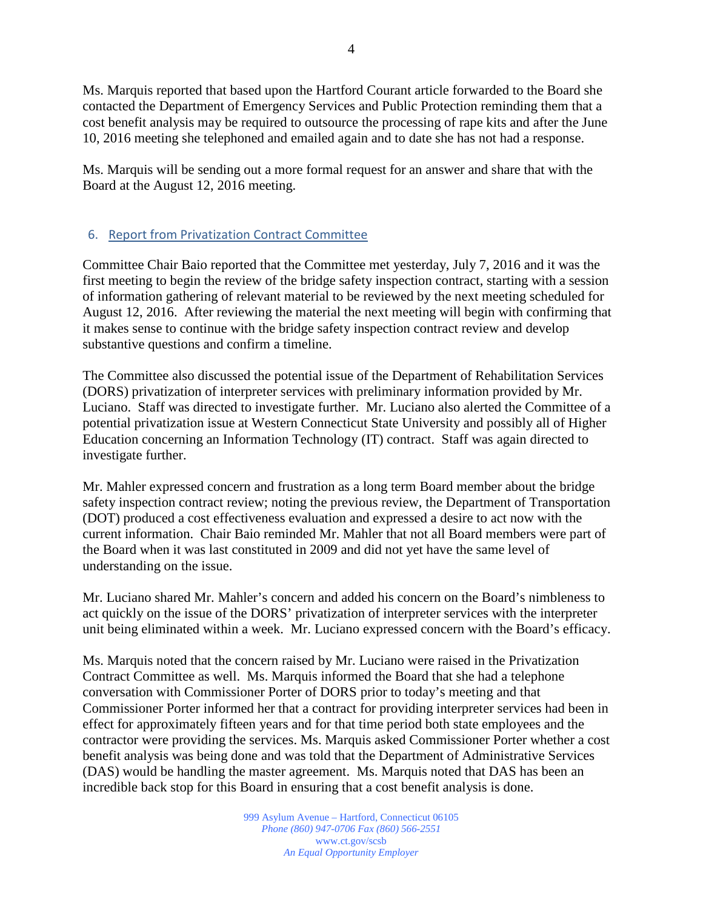Ms. Marquis reported that based upon the Hartford Courant article forwarded to the Board she contacted the Department of Emergency Services and Public Protection reminding them that a cost benefit analysis may be required to outsource the processing of rape kits and after the June 10, 2016 meeting she telephoned and emailed again and to date she has not had a response.

Ms. Marquis will be sending out a more formal request for an answer and share that with the Board at the August 12, 2016 meeting.

## 6. Report from Privatization Contract Committee

Committee Chair Baio reported that the Committee met yesterday, July 7, 2016 and it was the first meeting to begin the review of the bridge safety inspection contract, starting with a session of information gathering of relevant material to be reviewed by the next meeting scheduled for August 12, 2016. After reviewing the material the next meeting will begin with confirming that it makes sense to continue with the bridge safety inspection contract review and develop substantive questions and confirm a timeline.

The Committee also discussed the potential issue of the Department of Rehabilitation Services (DORS) privatization of interpreter services with preliminary information provided by Mr. Luciano. Staff was directed to investigate further. Mr. Luciano also alerted the Committee of a potential privatization issue at Western Connecticut State University and possibly all of Higher Education concerning an Information Technology (IT) contract. Staff was again directed to investigate further.

Mr. Mahler expressed concern and frustration as a long term Board member about the bridge safety inspection contract review; noting the previous review, the Department of Transportation (DOT) produced a cost effectiveness evaluation and expressed a desire to act now with the current information. Chair Baio reminded Mr. Mahler that not all Board members were part of the Board when it was last constituted in 2009 and did not yet have the same level of understanding on the issue.

Mr. Luciano shared Mr. Mahler's concern and added his concern on the Board's nimbleness to act quickly on the issue of the DORS' privatization of interpreter services with the interpreter unit being eliminated within a week. Mr. Luciano expressed concern with the Board's efficacy.

Ms. Marquis noted that the concern raised by Mr. Luciano were raised in the Privatization Contract Committee as well. Ms. Marquis informed the Board that she had a telephone conversation with Commissioner Porter of DORS prior to today's meeting and that Commissioner Porter informed her that a contract for providing interpreter services had been in effect for approximately fifteen years and for that time period both state employees and the contractor were providing the services. Ms. Marquis asked Commissioner Porter whether a cost benefit analysis was being done and was told that the Department of Administrative Services (DAS) would be handling the master agreement. Ms. Marquis noted that DAS has been an incredible back stop for this Board in ensuring that a cost benefit analysis is done.